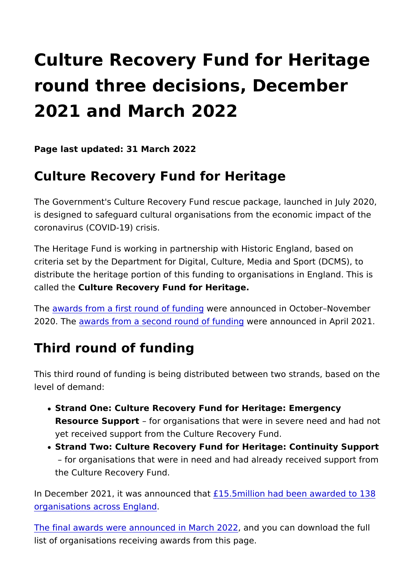## Culture Recovery Fund for Herit round three decisions, Decembe 2021 and March 2022

Page last updated: 31 March 2022

## Culture Recovery Fund for Heritage

The Government's Culture Recovery Fund rescue package, laund is designed to safeguard cultural organisations from the econor coronavirus (COVID-19) crisis.

The Heritage Fund is working in partnership with Historic Engla criteria set by the Department for Digital, Culture, Media and S distribute the heritage portion of this funding to organisations called the alture Recovery Fund for Heritage.

Th[e awards from a first round](https://www.heritagefund.org.uk/about/decisions/culture-recovery-fund-heritage-decisions-up-to-1m-october-2020) wfe funading unced in October Novem 2020. The ards from a second round weffed rachim gunced in April 2021

## Third round of funding

This third round of funding is being distributed between two str level of demand:

- Strand One: Culture Recovery Fund for Heritage: Emergency Resource Suppoffor organisations that were in severe need a yet received support from the Culture Recovery Fund.
- . Strand Two: Culture Recovery Fund for Heritage: Continuity for organisations that were in need and had already recei the Culture Recovery Fund.

In December 2021, it was anno<sup>cion</sup> foto that had been awarded to [organisations across](https://www.heritagefund.org.uk/news/culture-recovery-funds-ps155million-festive-boost-heritage) England

[The final awards were announced](https://www.heritagefund.org.uk/news/charity-yha-awarded-almost-ps1million-culture-recovery-fund) in a Mdrybu 2022 download the full list of organisations receiving awards from this page.